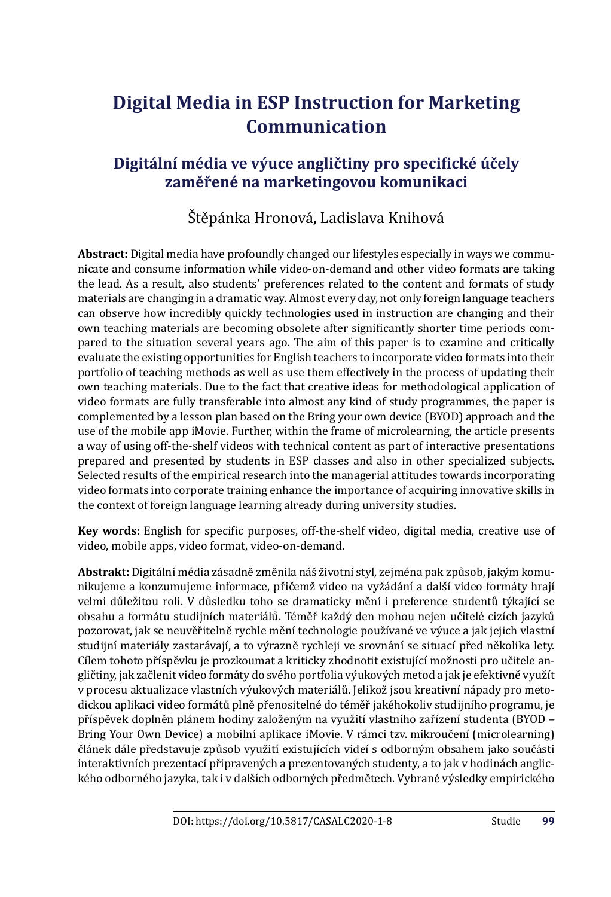# **Digital Media in ESP Instruction for Marketing Communication**

## Digitální média ve výuce angličtiny pro specifické účely **zaměřené na marketingovou komunikaci**

## Štěpánka Hronová, Ladislava Knihová

**Abstract:** Digital media have profoundly changed our lifestyles especially in ways we communicate and consume information while video-on-demand and other video formats are taking the lead. As a result, also students' preferences related to the content and formats of study materials are changing in a dramatic way. Almost every day, not only foreign language teachers can observe how incredibly quickly technologies used in instruction are changing and their own teaching materials are becoming obsolete after significantly shorter time periods compared to the situation several years ago. The aim of this paper is to examine and critically evaluate the existing opportunities for English teachers to incorporate video formats into their portfolio of teaching methods as well as use them effectively in the process of updating their own teaching materials. Due to the fact that creative ideas for methodological application of video formats are fully transferable into almost any kind of study programmes, the paper is complemented by a lesson plan based on the Bring your own device (BYOD) approach and the use of the mobile app iMovie. Further, within the frame of microlearning, the article presents a way of using off-the-shelf videos with technical content as part of interactive presentations prepared and presented by students in ESP classes and also in other specialized subjects. Selected results of the empirical research into the managerial attitudes towards incorporating video formats into corporate training enhance the importance of acquiring innovative skills in the context of foreign language learning already during university studies.

**Key words:** English for specific purposes, off-the-shelf video, digital media, creative use of video, mobile apps, video format, video-on-demand.

**Abstrakt:** Digitálnı́ média zásadně změnila náš životnı́ styl, zejména pak způ sob, jakým komunikujeme a konzumujeme informace, přičemž video na vyžádání a další video formáty hrají velmi důležitou roli. V důsledku toho se dramaticky mění i preference studentů týkající se obsahu a formátu studijních materiálů. Téměř každý den mohou nejen učitelé cizích jazyků pozorovat, jak se neuvěřitelně rychle měnı́ technologie použı́vané ve výuce a jak jejich vlastnı́ studijní materiály zastarávají, a to výrazně rychleji ve srovnání se situací před několika lety. Cílem tohoto příspěvku je prozkoumat a kriticky zhodnotit existující možnosti pro učitele angličtiny, jak začlenit video formá ty do svého portfolia výukových metod a jak je efektivně využı́t v procesu aktualizace vlastnı́ch výukových materiálů . Jelikož jsou kreativnı́ nápady pro metodickou aplikaci video formátů plně přenositelné do téměř jakéhokoliv studijního programu, je přı́spěvek doplněn plánem hodiny založeným na využitı́ vlastnı́ho zařı́zenı́ studenta (BYOD – Bring Your Own Device) a mobilní aplikace iMovie. V rámci tzv. mikroučení (microlearning) článek dále představuje způ sob využitı́ existujı́cı́ch videı́ s odborným obsahem jako součásti interaktivních prezentací připravených a prezentovaných studenty, a to jak v hodinách anglického odborného jazyka, tak i v dalšı́ch odborných předmě tech. Vybrané výsledky empirického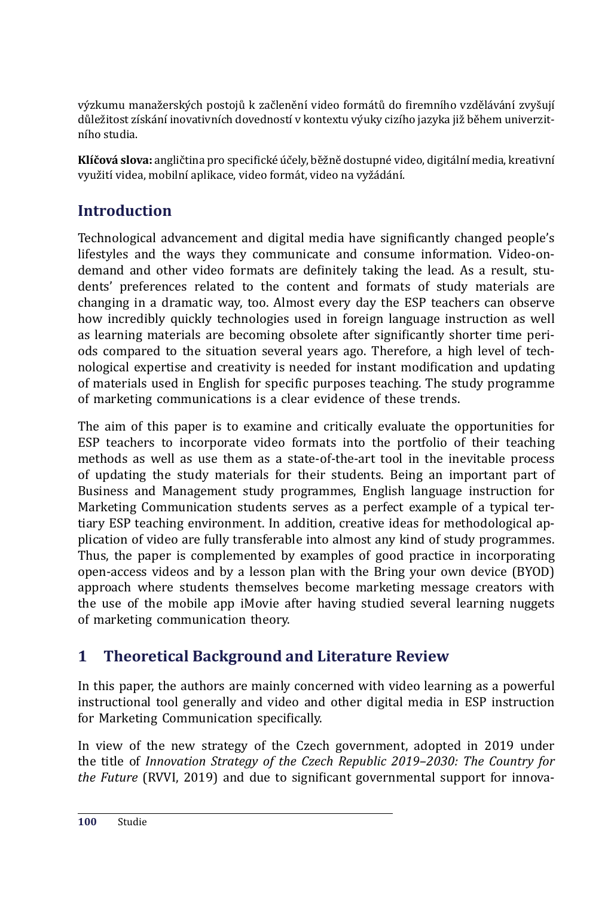výzkumu manažerských postojů k začlenění video formátů do firemního vzdělávání zvvšuií důležitost zı́skánı́ inovativnı́ch dovednostı́ v kontextu výuky cizı́ho jazyka již během univerzitnı́ho studia.

**Klíčová slova:** angličtina pro specifické účely, běžně dostupné video, digitální media, kreativní využití videa, mobilní aplikace, video formát, video na vyžádání.

## **Introduction**

Technological advancement and digital media have significantly changed people's lifestyles and the ways they communicate and consume information. Video-ondemand and other video formats are definitely taking the lead. As a result, students' preferences related to the content and formats of study materials are changing in a dramatic way, too. Almost every day the ESP teachers can observe how incredibly quickly technologies used in foreign language instruction as well as learning materials are becoming obsolete after significantly shorter time periods compared to the situation several years ago. Therefore, a high level of technological expertise and creativity is needed for instant modification and updating of materials used in English for specific purposes teaching. The study programme of marketing communications is a clear evidence of these trends.

The aim of this paper is to examine and critically evaluate the opportunities for ESP teachers to incorporate video formats into the portfolio of their teaching methods as well as use them as a state-of-the-art tool in the inevitable process of updating the study materials for their students. Being an important part of Business and Management study programmes, English language instruction for Marketing Communication students serves as a perfect example of a typical tertiary ESP teaching environment. In addition, creative ideas for methodological application of video are fully transferable into almost any kind of study programmes. Thus, the paper is complemented by examples of good practice in incorporating open-access videos and by a lesson plan with the Bring your own device (BYOD) approach where students themselves become marketing message creators with the use of the mobile app iMovie after having studied several learning nuggets of marketing communication theory.

## **1 Theoretical Background and Literature Review**

In this paper, the authors are mainly concerned with video learning as a powerful instructional tool generally and video and other digital media in ESP instruction for Marketing Communication specifically.

In view of the new strategy of the Czech government, adopted in 2019 under the title of *Innovation Strategy of the Czech Republic 2019–2030: The Country for the Future* (RVVI, 2019) and due to significant governmental support for innova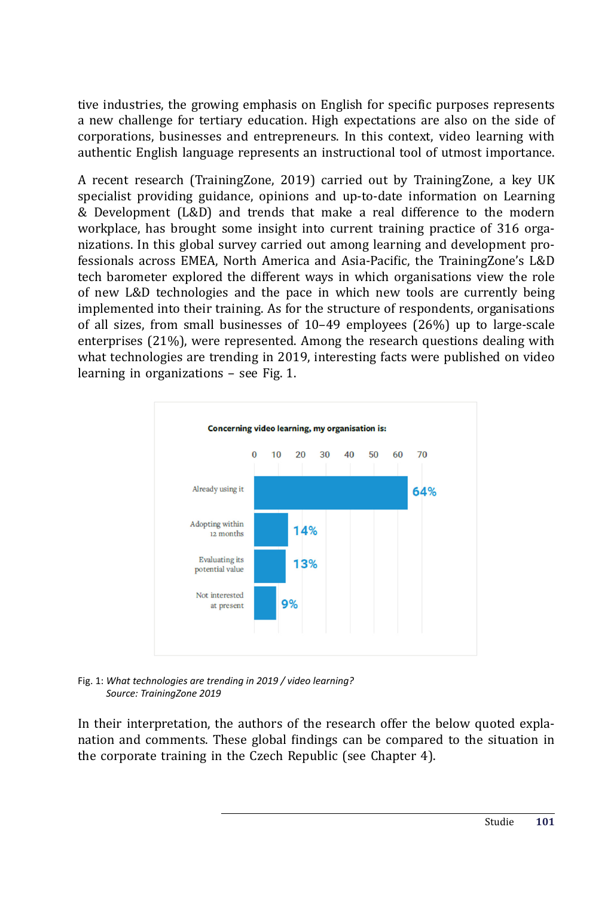tive industries, the growing emphasis on English for specific purposes represents a new challenge for tertiary education. High expectations are also on the side of corporations, businesses and entrepreneurs. In this context, video learning with authentic English language represents an instructional tool of utmost importance.

A recent research (TrainingZone, 2019) carried out by TrainingZone, a key UK specialist providing guidance, opinions and up-to-date information on Learning & Development (L&D) and trends that make a real difference to the modern workplace, has brought some insight into current training practice of 316 organizations. In this global survey carried out among learning and development professionals across EMEA, North America and Asia-Pacific, the TrainingZone's L&D tech barometer explored the different ways in which organisations view the role of new L&D technologies and the pace in which new tools are currently being implemented into their training. As for the structure of respondents, organisations of all sizes, from small businesses of 10–49 employees (26%) up to large-scale enterprises (21%), were represented. Among the research questions dealing with what technologies are trending in 2019, interesting facts were published on video learning in organizations – see Fig. 1.



Fig. 1: *What technologies are trending in 2019 / video learning? Source: TrainingZone 2019*

In their interpretation, the authors of the research offer the below quoted explanation and comments. These global findings can be compared to the situation in the corporate training in the Czech Republic (see Chapter 4).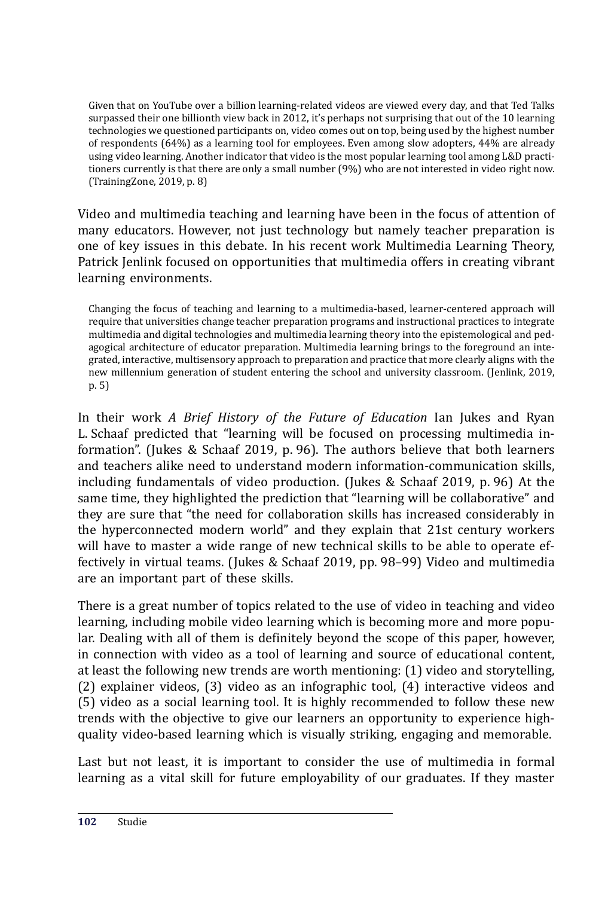Given that on YouTube over a billion learning-related videos are viewed every day, and that Ted Talks surpassed their one billionth view back in 2012, it's perhaps not surprising that out of the 10 learning technologies we questioned participants on, video comes out on top, being used by the highest number of respondents (64%) as a learning tool for employees. Even among slow adopters, 44% are already using video learning. Another indicator that video is the most popular learning tool among L&D practitioners currently is that there are only a small number (9%) who are not interested in video right now. (TrainingZone, 2019, p. 8)

Video and multimedia teaching and learning have been in the focus of attention of many educators. However, not just technology but namely teacher preparation is one of key issues in this debate. In his recent work Multimedia Learning Theory, Patrick Jenlink focused on opportunities that multimedia offers in creating vibrant learning environments.

Changing the focus of teaching and learning to a multimedia-based, learner-centered approach will require that universities change teacher preparation programs and instructional practices to integrate multimedia and digital technologies and multimedia learning theory into the epistemological and pedagogical architecture of educator preparation. Multimedia learning brings to the foreground an integrated, interactive, multisensory approach to preparation and practice that more clearly aligns with the new millennium generation of student entering the school and university classroom. (Jenlink, 2019, p. 5)

In their work *A Brief History of the Future of Education* Ian Jukes and Ryan L. Schaaf predicted that "learning will be focused on processing multimedia information". (Jukes & Schaaf 2019, p. 96). The authors believe that both learners and teachers alike need to understand modern information-communication skills, including fundamentals of video production. (Jukes & Schaaf 2019, p. 96) At the same time, they highlighted the prediction that "learning will be collaborative" and they are sure that "the need for collaboration skills has increased considerably in the hyperconnected modern world" and they explain that 21st century workers will have to master a wide range of new technical skills to be able to operate effectively in virtual teams. (Jukes & Schaaf 2019, pp. 98–99) Video and multimedia are an important part of these skills.

There is a great number of topics related to the use of video in teaching and video learning, including mobile video learning which is becoming more and more popular. Dealing with all of them is definitely beyond the scope of this paper, however, in connection with video as a tool of learning and source of educational content, at least the following new trends are worth mentioning: (1) video and storytelling, (2) explainer videos, (3) video as an infographic tool, (4) interactive videos and (5) video as a social learning tool. It is highly recommended to follow these new trends with the objective to give our learners an opportunity to experience highquality video-based learning which is visually striking, engaging and memorable.

Last but not least, it is important to consider the use of multimedia in formal learning as a vital skill for future employability of our graduates. If they master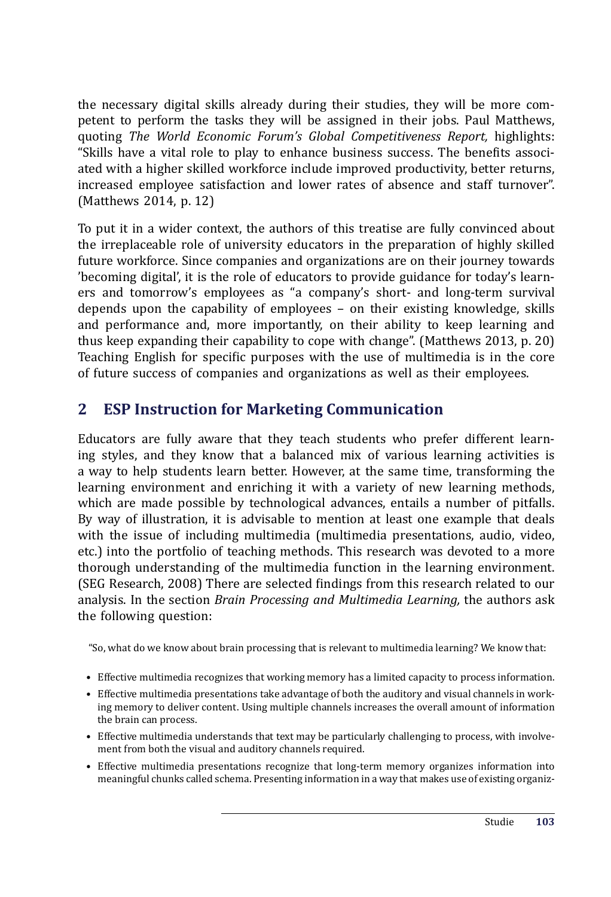the necessary digital skills already during their studies, they will be more competent to perform the tasks they will be assigned in their jobs. Paul Matthews, quoting *The World Economic Forum's Global Competitiveness Report,* highlights: "Skills have a vital role to play to enhance business success. The benefits associated with a higher skilled workforce include improved productivity, better returns, increased employee satisfaction and lower rates of absence and staff turnover". (Matthews 2014, p. 12)

To put it in a wider context, the authors of this treatise are fully convinced about the irreplaceable role of university educators in the preparation of highly skilled future workforce. Since companies and organizations are on their journey towards 'becoming digital', it is the role of educators to provide guidance for today's learners and tomorrow's employees as "a company's short- and long-term survival depends upon the capability of employees – on their existing knowledge, skills and performance and, more importantly, on their ability to keep learning and thus keep expanding their capability to cope with change". (Matthews 2013, p. 20) Teaching English for specific purposes with the use of multimedia is in the core of future success of companies and organizations as well as their employees.

### **2 ESP Instruction for Marketing Communication**

Educators are fully aware that they teach students who prefer different learning styles, and they know that a balanced mix of various learning activities is a way to help students learn better. However, at the same time, transforming the learning environment and enriching it with a variety of new learning methods, which are made possible by technological advances, entails a number of pitfalls. By way of illustration, it is advisable to mention at least one example that deals with the issue of including multimedia (multimedia presentations, audio, video, etc.) into the portfolio of teaching methods. This research was devoted to a more thorough understanding of the multimedia function in the learning environment. (SEG Research, 2008) There are selected findings from this research related to our analysis. In the section *Brain Processing and Multimedia Learning,* the authors ask the following question:

"So, what do we know about brain processing that is relevant to multimedia learning? We know that:

- Effective multimedia recognizes that working memory has a limited capacity to process information.
- Effective multimedia presentations take advantage of both the auditory and visual channels in working memory to deliver content. Using multiple channels increases the overall amount of information the brain can process.
- Effective multimedia understands that text may be particularly challenging to process, with involvement from both the visual and auditory channels required.
- Effective multimedia presentations recognize that long-term memory organizes information into meaningful chunks called schema. Presenting information in a way that makes use of existing organiz-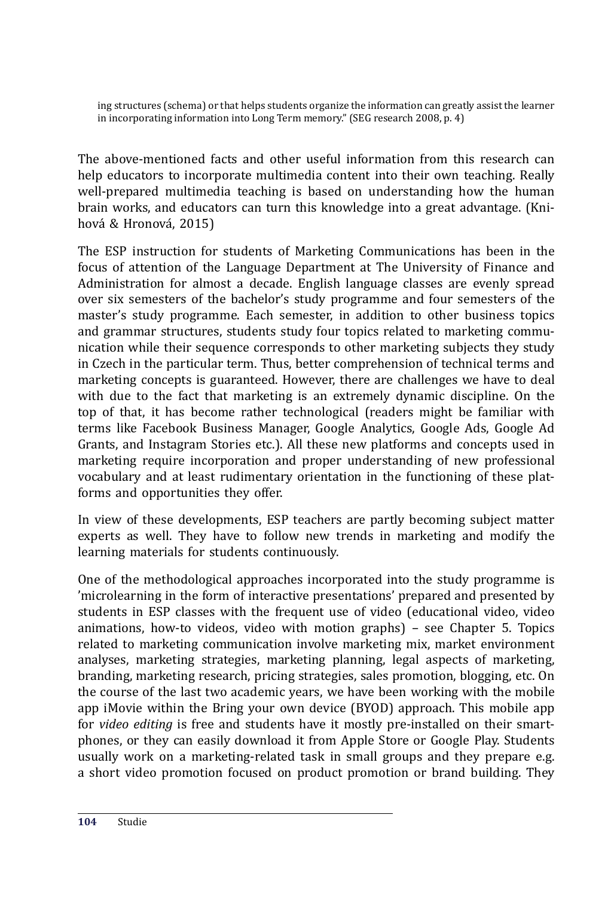ing structures (schema) or that helps students organize the information can greatly assist the learner in incorporating information into Long Term memory." (SEG research 2008, p. 4)

The above-mentioned facts and other useful information from this research can help educators to incorporate multimedia content into their own teaching. Really well-prepared multimedia teaching is based on understanding how the human brain works, and educators can turn this knowledge into a great advantage. (Knihová & Hronová , 2015)

The ESP instruction for students of Marketing Communications has been in the focus of attention of the Language Department at The University of Finance and Administration for almost a decade. English language classes are evenly spread over six semesters of the bachelor's study programme and four semesters of the master's study programme. Each semester, in addition to other business topics and grammar structures, students study four topics related to marketing communication while their sequence corresponds to other marketing subjects they study in Czech in the particular term. Thus, better comprehension of technical terms and marketing concepts is guaranteed. However, there are challenges we have to deal with due to the fact that marketing is an extremely dynamic discipline. On the top of that, it has become rather technological (readers might be familiar with terms like Facebook Business Manager, Google Analytics, Google Ads, Google Ad Grants, and Instagram Stories etc.). All these new platforms and concepts used in marketing require incorporation and proper understanding of new professional vocabulary and at least rudimentary orientation in the functioning of these platforms and opportunities they offer.

In view of these developments, ESP teachers are partly becoming subject matter experts as well. They have to follow new trends in marketing and modify the learning materials for students continuously.

One of the methodological approaches incorporated into the study programme is 'microlearning in the form of interactive presentations' prepared and presented by students in ESP classes with the frequent use of video (educational video, video animations, how-to videos, video with motion graphs) – see Chapter 5. Topics related to marketing communication involve marketing mix, market environment analyses, marketing strategies, marketing planning, legal aspects of marketing, branding, marketing research, pricing strategies, sales promotion, blogging, etc. On the course of the last two academic years, we have been working with the mobile app iMovie within the Bring your own device (BYOD) approach. This mobile app for *video editing* is free and students have it mostly pre-installed on their smartphones, or they can easily download it from Apple Store or Google Play. Students usually work on a marketing-related task in small groups and they prepare e.g. a short video promotion focused on product promotion or brand building. They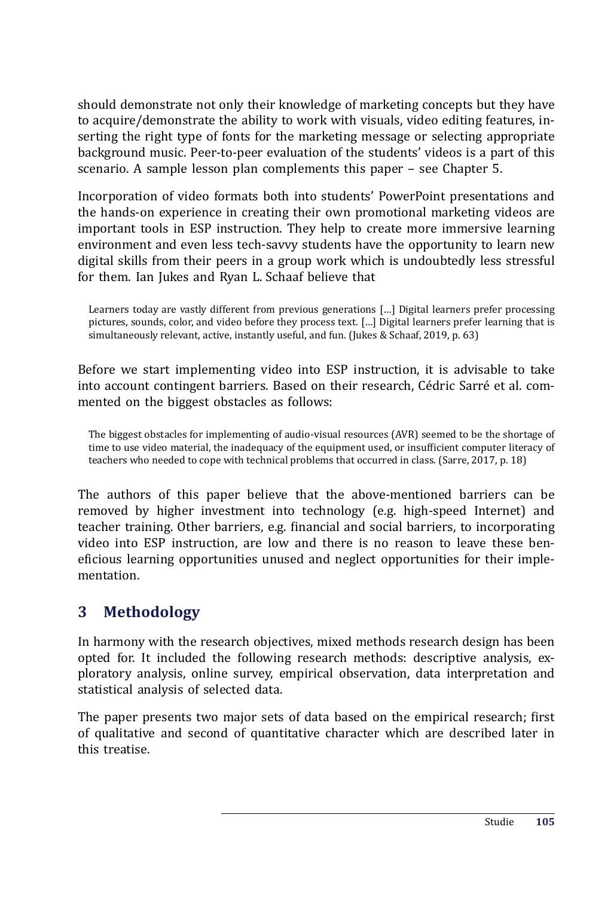should demonstrate not only their knowledge of marketing concepts but they have to acquire/demonstrate the ability to work with visuals, video editing features, inserting the right type of fonts for the marketing message or selecting appropriate background music. Peer-to-peer evaluation of the students' videos is a part of this scenario. A sample lesson plan complements this paper – see Chapter 5.

Incorporation of video formats both into students' PowerPoint presentations and the hands-on experience in creating their own promotional marketing videos are important tools in ESP instruction. They help to create more immersive learning environment and even less tech-savvy students have the opportunity to learn new digital skills from their peers in a group work which is undoubtedly less stressful for them. Ian Jukes and Ryan L. Schaaf believe that

Learners today are vastly different from previous generations […] Digital learners prefer processing pictures, sounds, color, and video before they process text. […] Digital learners prefer learning that is simultaneously relevant, active, instantly useful, and fun. (Jukes & Schaaf, 2019, p. 63)

Before we start implementing video into ESP instruction, it is advisable to take into account contingent barriers. Based on their research, Cédric Sarré et al. commented on the biggest obstacles as follows:

The biggest obstacles for implementing of audio-visual resources (AVR) seemed to be the shortage of time to use video material, the inadequacy of the equipment used, or insufficient computer literacy of teachers who needed to cope with technical problems that occurred in class. (Sarre, 2017, p. 18)

The authors of this paper believe that the above-mentioned barriers can be removed by higher investment into technology (e.g. high-speed Internet) and teacher training. Other barriers, e.g. financial and social barriers, to incorporating video into ESP instruction, are low and there is no reason to leave these beneficious learning opportunities unused and neglect opportunities for their implementation.

## **3 Methodology**

In harmony with the research objectives, mixed methods research design has been opted for. It included the following research methods: descriptive analysis, exploratory analysis, online survey, empirical observation, data interpretation and statistical analysis of selected data.

The paper presents two major sets of data based on the empirical research; first of qualitative and second of quantitative character which are described later in this treatise.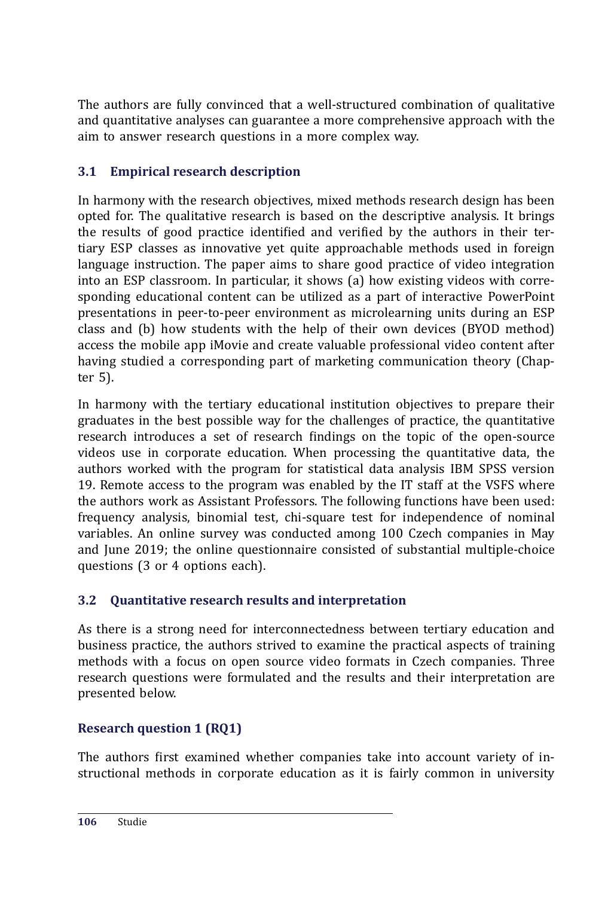The authors are fully convinced that a well-structured combination of qualitative and quantitative analyses can guarantee a more comprehensive approach with the aim to answer research questions in a more complex way.

### **3.1 Empirical research description**

In harmony with the research objectives, mixed methods research design has been opted for. The qualitative research is based on the descriptive analysis. It brings the results of good practice identified and verified by the authors in their tertiary ESP classes as innovative yet quite approachable methods used in foreign language instruction. The paper aims to share good practice of video integration into an ESP classroom. In particular, it shows (a) how existing videos with corresponding educational content can be utilized as a part of interactive PowerPoint presentations in peer-to-peer environment as microlearning units during an ESP class and (b) how students with the help of their own devices (BYOD method) access the mobile app iMovie and create valuable professional video content after having studied a corresponding part of marketing communication theory (Chapter 5).

In harmony with the tertiary educational institution objectives to prepare their graduates in the best possible way for the challenges of practice, the quantitative research introduces a set of research findings on the topic of the open-source videos use in corporate education. When processing the quantitative data, the authors worked with the program for statistical data analysis IBM SPSS version 19. Remote access to the program was enabled by the IT staff at the VSFS where the authors work as Assistant Professors. The following functions have been used: frequency analysis, binomial test, chi-square test for independence of nominal variables. An online survey was conducted among 100 Czech companies in May and June 2019; the online questionnaire consisted of substantial multiple-choice questions (3 or 4 options each).

### **3.2 Quantitative research results and interpretation**

As there is a strong need for interconnectedness between tertiary education and business practice, the authors strived to examine the practical aspects of training methods with a focus on open source video formats in Czech companies. Three research questions were formulated and the results and their interpretation are presented below.

### **Research question 1 (RQ1)**

The authors first examined whether companies take into account variety of instructional methods in corporate education as it is fairly common in university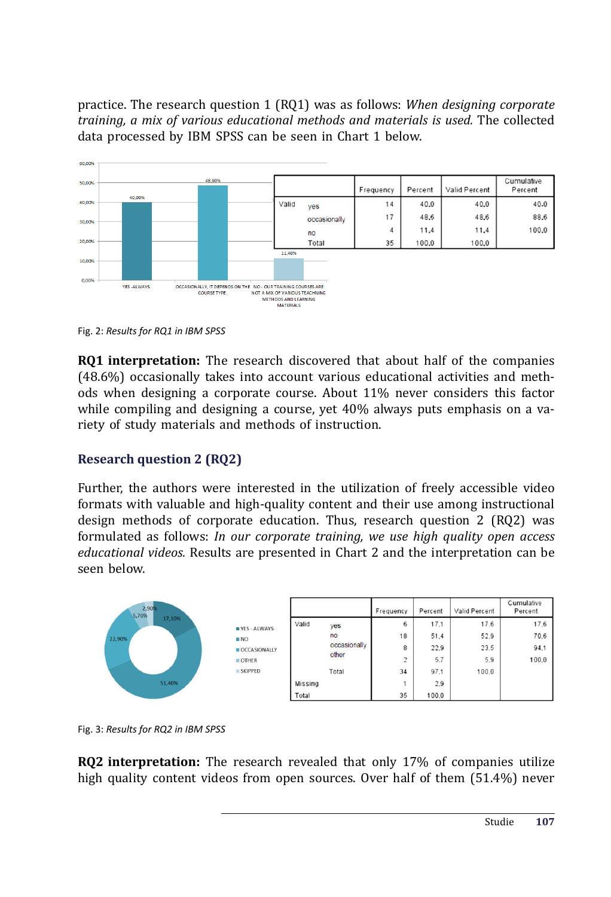practice. The research question 1 (RQ1) was as follows: *When designing corporate training, a mix of various educational methods and materials is used.* The collected data processed by IBM SPSS can be seen in Chart 1 below.



Fig. 2: *Results for RQ1 in IBM SPSS*

**RQ1 interpretation:** The research discovered that about half of the companies (48.6%) occasionally takes into account various educational activities and methods when designing a corporate course. About 11% never considers this factor while compiling and designing a course, yet 40% always puts emphasis on a variety of study materials and methods of instruction.

#### **Research question 2 (RQ2)**

Further, the authors were interested in the utilization of freely accessible video formats with valuable and high-quality content and their use among instructional design methods of corporate education. Thus, research question 2 (RQ2) was formulated as follows: *In our corporate training, we use high quality open access educational videos.* Results are presented in Chart 2 and the interpretation can be seen below.



Fig. 3: *Results for RQ2 in IBM SPSS*

**RQ2 interpretation:** The research revealed that only 17% of companies utilize high quality content videos from open sources. Over half of them (51.4%) never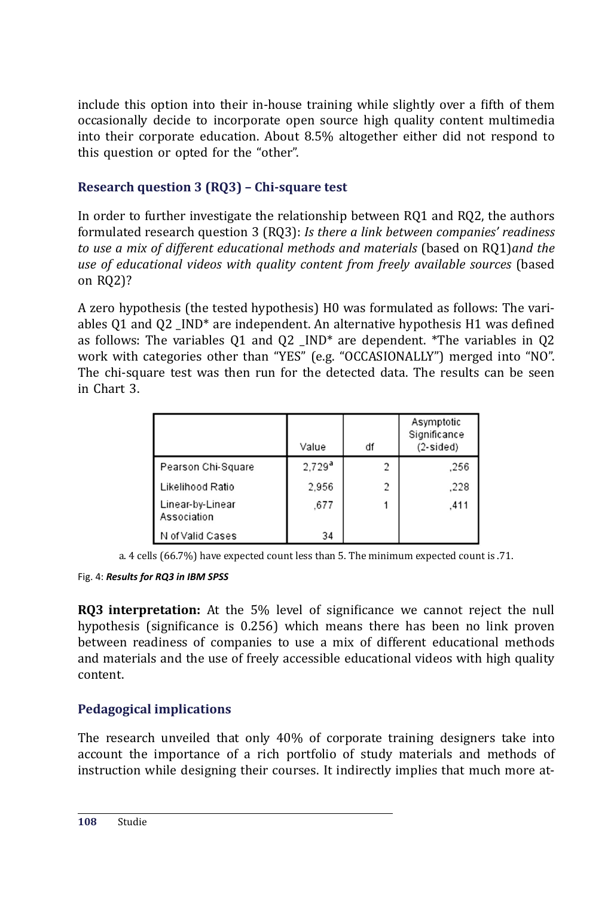include this option into their in-house training while slightly over a fifth of them occasionally decide to incorporate open source high quality content multimedia into their corporate education. About 8.5% altogether either did not respond to this question or opted for the "other".

### **Research question 3 (RQ3) – Chi-square test**

In order to further investigate the relationship between RQ1 and RQ2, the authors formulated research question 3 (RQ3): *Is there a link between companies' readiness to use a mix of different educational methods and materials* (based on RQ1)*and the use of educational videos with quality content from freely available sources* (based on RQ2)?

A zero hypothesis (the tested hypothesis) H0 was formulated as follows: The variables Q1 and Q2  $\mu$ IND<sup>\*</sup> are independent. An alternative hypothesis H1 was defined as follows: The variables Q1 and Q2 \_IND\* are dependent. \*The variables in Q2 work with categories other than "YES" (e.g. "OCCASIONALLY") merged into "NO". The chi-square test was then run for the detected data. The results can be seen in Chart 3.

|                                 | Value     | df | Asymptotic<br>Significance<br>$(2-sided)$ |
|---------------------------------|-----------|----|-------------------------------------------|
| Pearson Chi-Square              | $2,729^a$ | 2  | .256                                      |
| Likelihood Ratio                | 2.956     | 2  | .228                                      |
| Linear-by-Linear<br>Association | .677      |    | .411                                      |
| N of Valid Cases                | 34        |    |                                           |

a. 4 cells (66.7%) have expected count less than 5. The minimum expected count is .71.

#### Fig. 4: *Results for RQ3 in IBM SPSS*

**RQ3 interpretation:** At the 5% level of significance we cannot reject the null hypothesis (significance is 0.256) which means there has been no link proven between readiness of companies to use a mix of different educational methods and materials and the use of freely accessible educational videos with high quality content.

### **Pedagogical implications**

The research unveiled that only 40% of corporate training designers take into account the importance of a rich portfolio of study materials and methods of instruction while designing their courses. It indirectly implies that much more at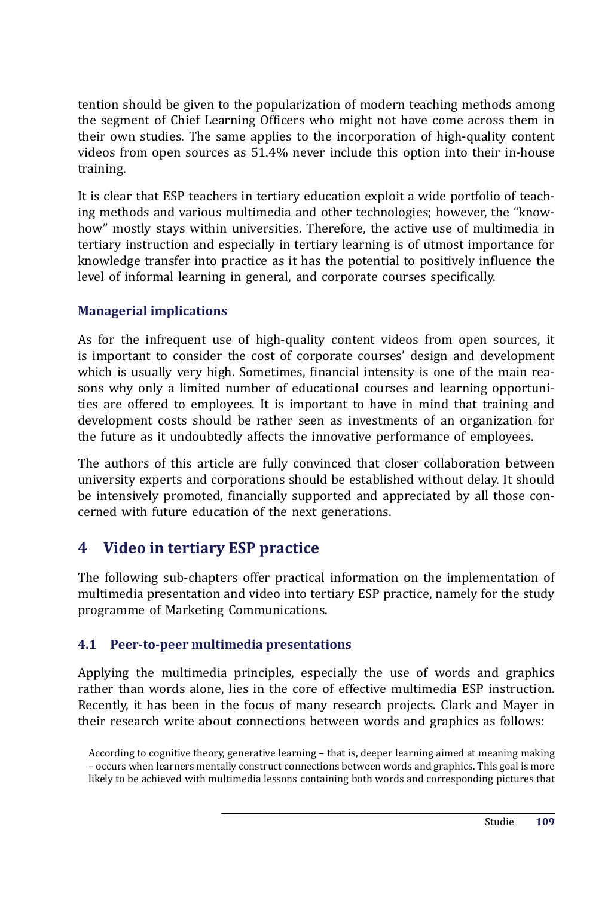tention should be given to the popularization of modern teaching methods among the segment of Chief Learning Officers who might not have come across them in their own studies. The same applies to the incorporation of high-quality content videos from open sources as 51.4% never include this option into their in-house training.

It is clear that ESP teachers in tertiary education exploit a wide portfolio of teaching methods and various multimedia and other technologies; however, the "knowhow" mostly stays within universities. Therefore, the active use of multimedia in tertiary instruction and especially in tertiary learning is of utmost importance for knowledge transfer into practice as it has the potential to positively influence the level of informal learning in general, and corporate courses specifically.

#### **Managerial implications**

As for the infrequent use of high-quality content videos from open sources, it is important to consider the cost of corporate courses' design and development which is usually very high. Sometimes, financial intensity is one of the main reasons why only a limited number of educational courses and learning opportunities are offered to employees. It is important to have in mind that training and development costs should be rather seen as investments of an organization for the future as it undoubtedly affects the innovative performance of employees.

The authors of this article are fully convinced that closer collaboration between university experts and corporations should be established without delay. It should be intensively promoted, financially supported and appreciated by all those concerned with future education of the next generations.

### **4 Video in tertiary ESP practice**

The following sub-chapters offer practical information on the implementation of multimedia presentation and video into tertiary ESP practice, namely for the study programme of Marketing Communications.

#### **4.1 Peer-to-peer multimedia presentations**

Applying the multimedia principles, especially the use of words and graphics rather than words alone, lies in the core of effective multimedia ESP instruction. Recently, it has been in the focus of many research projects. Clark and Mayer in their research write about connections between words and graphics as follows:

According to cognitive theory, generative learning – that is, deeper learning aimed at meaning making – occurs when learners mentally construct connections between words and graphics. This goal is more likely to be achieved with multimedia lessons containing both words and corresponding pictures that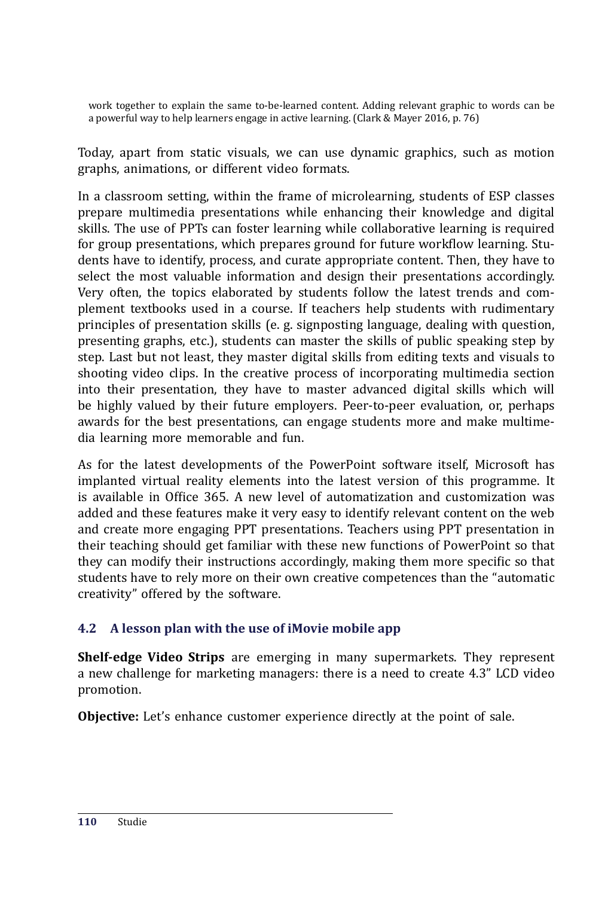work together to explain the same to-be-learned content. Adding relevant graphic to words can be a powerful way to help learners engage in active learning. (Clark & Mayer 2016, p. 76)

Today, apart from static visuals, we can use dynamic graphics, such as motion graphs, animations, or different video formats.

In a classroom setting, within the frame of microlearning, students of ESP classes prepare multimedia presentations while enhancing their knowledge and digital skills. The use of PPTs can foster learning while collaborative learning is required for group presentations, which prepares ground for future workflow learning. Students have to identify, process, and curate appropriate content. Then, they have to select the most valuable information and design their presentations accordingly. Very often, the topics elaborated by students follow the latest trends and complement textbooks used in a course. If teachers help students with rudimentary principles of presentation skills (e. g. signposting language, dealing with question, presenting graphs, etc.), students can master the skills of public speaking step by step. Last but not least, they master digital skills from editing texts and visuals to shooting video clips. In the creative process of incorporating multimedia section into their presentation, they have to master advanced digital skills which will be highly valued by their future employers. Peer-to-peer evaluation, or, perhaps awards for the best presentations, can engage students more and make multimedia learning more memorable and fun.

As for the latest developments of the PowerPoint software itself, Microsoft has implanted virtual reality elements into the latest version of this programme. It is available in Office  $365$ . A new level of automatization and customization was added and these features make it very easy to identify relevant content on the web and create more engaging PPT presentations. Teachers using PPT presentation in their teaching should get familiar with these new functions of PowerPoint so that they can modify their instructions accordingly, making them more specific so that students have to rely more on their own creative competences than the "automatic creativity" offered by the software.

#### **4.2 A lesson plan with the use of iMovie mobile app**

**Shelf-edge Video Strips** are emerging in many supermarkets. They represent a new challenge for marketing managers: there is a need to create 4.3" LCD video promotion.

**Objective:** Let's enhance customer experience directly at the point of sale.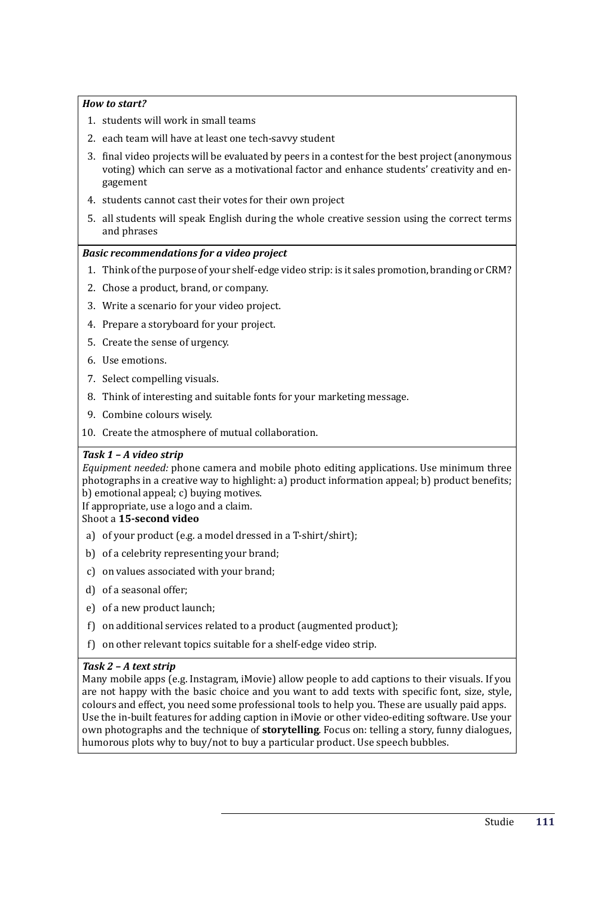#### *How to start?*

- 1. students will work in small teams
- 2. each team will have at least one tech-savvy student
- 3. final video projects will be evaluated by peers in a contest for the best project (anonymous voting) which can serve as a motivational factor and enhance students' creativity and engagement
- 4. students cannot cast their votes for their own project
- 5. all students will speak English during the whole creative session using the correct terms and phrases

#### *Basic recommendations for a video project*

- 1. Think of the purpose of your shelf-edge video strip: is it sales promotion, branding or CRM?
- 2. Chose a product, brand, or company.
- 3. Write a scenario for your video project.
- 4. Prepare a storyboard for your project.
- 5. Create the sense of urgency.
- 6. Use emotions.
- 7. Select compelling visuals.
- 8. Think of interesting and suitable fonts for your marketing message.
- 9. Combine colours wisely.
- 10. Create the atmosphere of mutual collaboration.

#### *Task 1 – A video strip*

*Equipment needed:* phone camera and mobile photo editing applications. Use minimum three photographs in a creative way to highlight: a) product information appeal; b) product benefits; b) emotional appeal; c) buying motives.

If appropriate, use a logo and a claim.

#### Shoot a **15-second video**

- a) of your product (e.g. a model dressed in a T-shirt/shirt);
- b) of a celebrity representing your brand;
- c) on values associated with your brand;
- d) of a seasonal offer;
- e) of a new product launch;
- f) on additional services related to a product (augmented product);
- f) on other relevant topics suitable for a shelf-edge video strip.

#### *Task 2 – A text strip*

Many mobile apps (e.g. Instagram, iMovie) allow people to add captions to their visuals. If you are not happy with the basic choice and you want to add texts with specific font, size, style, colours and effect, you need some professional tools to help you. These are usually paid apps. Use the in-built features for adding caption in iMovie or other video-editing software. Use your own photographs and the technique of **storytelling**. Focus on: telling a story, funny dialogues, humorous plots why to buy/not to buy a particular product. Use speech bubbles.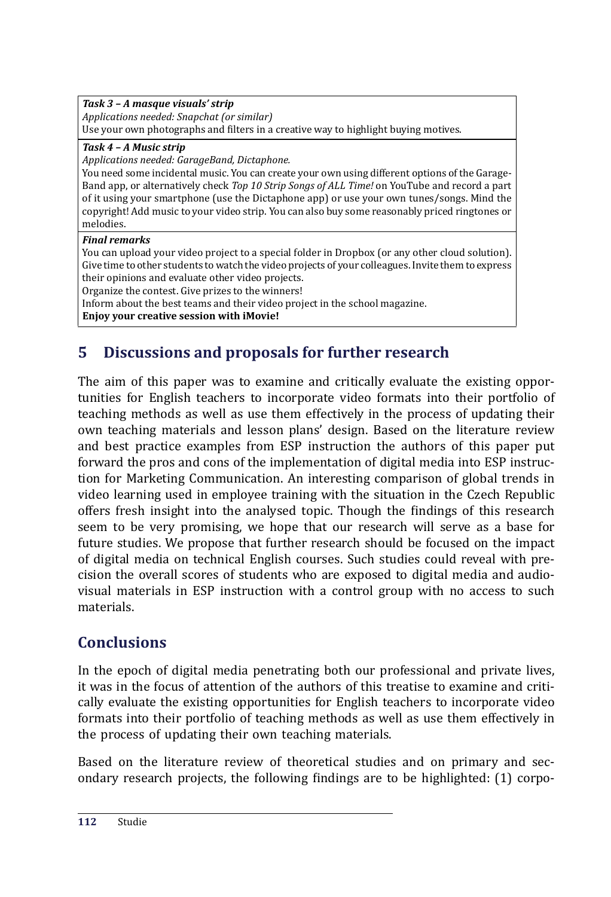#### *Task 3 – A masque visuals' strip Applications needed: Snapchat (or similar)* Use your own photographs and filters in a creative way to highlight buying motives.

*Task 4 – A Music strip*

*Applications needed: GarageBand, Dictaphone.*

You need some incidental music. You can create your own using different options of the Garage-Band app, or alternatively check *Top 10 Strip Songs of ALL Time!* on YouTube and record a part of it using your smartphone (use the Dictaphone app) or use your own tunes/songs. Mind the copyright! Add music to your video strip. You can also buy some reasonably priced ringtones or melodies.

#### *Final remarks*

You can upload your video project to a special folder in Dropbox (or any other cloud solution). Give time to other students to watch the video projects of your colleagues. Invite them to express their opinions and evaluate other video projects.

Organize the contest. Give prizes to the winners!

Inform about the best teams and their video project in the school magazine.

**Enjoy your creative session with iMovie!**

## **5 Discussions and proposals for further research**

The aim of this paper was to examine and critically evaluate the existing opportunities for English teachers to incorporate video formats into their portfolio of teaching methods as well as use them effectively in the process of updating their own teaching materials and lesson plans' design. Based on the literature review and best practice examples from ESP instruction the authors of this paper put forward the pros and cons of the implementation of digital media into ESP instruction for Marketing Communication. An interesting comparison of global trends in video learning used in employee training with the situation in the Czech Republic offers fresh insight into the analysed topic. Though the findings of this research seem to be very promising, we hope that our research will serve as a base for future studies. We propose that further research should be focused on the impact of digital media on technical English courses. Such studies could reveal with precision the overall scores of students who are exposed to digital media and audiovisual materials in ESP instruction with a control group with no access to such materials.

## **Conclusions**

In the epoch of digital media penetrating both our professional and private lives, it was in the focus of attention of the authors of this treatise to examine and critically evaluate the existing opportunities for English teachers to incorporate video formats into their portfolio of teaching methods as well as use them effectively in the process of updating their own teaching materials.

Based on the literature review of theoretical studies and on primary and secondary research projects, the following findings are to be highlighted: (1) corpo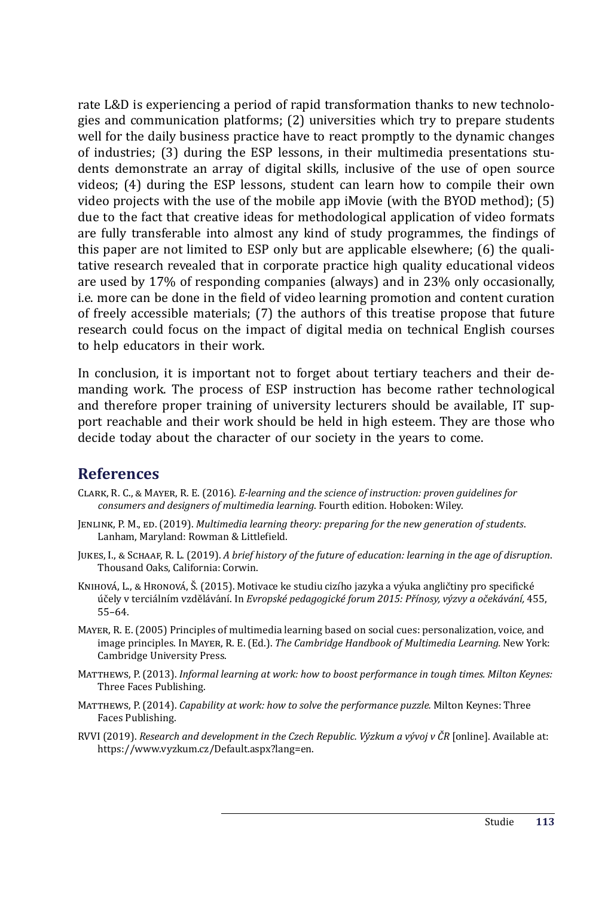rate L&D is experiencing a period of rapid transformation thanks to new technologies and communication platforms; (2) universities which try to prepare students well for the daily business practice have to react promptly to the dynamic changes of industries; (3) during the ESP lessons, in their multimedia presentations students demonstrate an array of digital skills, inclusive of the use of open source videos; (4) during the ESP lessons, student can learn how to compile their own video projects with the use of the mobile app iMovie (with the BYOD method); (5) due to the fact that creative ideas for methodological application of video formats are fully transferable into almost any kind of study programmes, the findings of this paper are not limited to ESP only but are applicable elsewhere; (6) the qualitative research revealed that in corporate practice high quality educational videos are used by 17% of responding companies (always) and in 23% only occasionally, i.e. more can be done in the field of video learning promotion and content curation of freely accessible materials; (7) the authors of this treatise propose that future research could focus on the impact of digital media on technical English courses to help educators in their work.

In conclusion, it is important not to forget about tertiary teachers and their demanding work. The process of ESP instruction has become rather technological and therefore proper training of university lecturers should be available, IT support reachable and their work should be held in high esteem. They are those who decide today about the character of our society in the years to come.

#### **References**

- CLARK, R. C., & MAYER, R. E. (2016). *E-learning and the science of instruction: proven guidelines for consumers and designers of multimedia learning*. Fourth edition. Hoboken: Wiley.
- JENLINK, P. M., ED. (2019). *Multimedia learning theory: preparing for the new generation of students*. Lanham, Maryland: Rowman & Littlefield.
- JUKES, I., & SCHAAF, R. L. (2019). *A brief history of the future of education: learning in the age of disruption*. Thousand Oaks, California: Corwin.
- KNIHOVÁ, L., & HRONOVÁ, Š. (2015). Motivace ke studiu cizího jazyka a výuka angličtiny pro specifické ú čely v terciálnı́m vzdělávánı́. In *Evropské pedagogické forum 2015: Přínosy, výzvy a očekávání,* 455, 55–64.
- MAYER, R. E. (2005) Principles of multimedia learning based on social cues: personalization, voice, and image principles. In MAYER, R. E. (Ed.). *The Cambridge Handbook of Multimedia Learning*. New York: Cambridge University Press.
- MATTHEWS, P. (2013). *Informal learning at work: how to boost performance in tough times. Milton Keynes:* Three Faces Publishing.
- MATTHEWS, P. (2014). *Capability at work: how to solve the performance puzzle*. Milton Keynes: Three Faces Publishing.
- RVVI (2019). *Research and development in the Czech Republic. Výzkum a vývoj v ČR* [online]. Available at: https://www.vyzkum.cz/Default.aspx?lang=en.